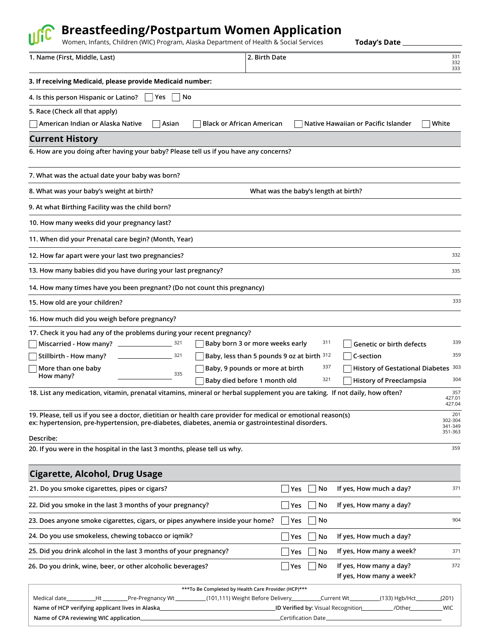## **Breastfeeding/Postpartum Women Application**

Women, Infants, Children (WIC) Program, Alaska Department of Health & Social Services

**Today's Date**

| 1. Name (First, Middle, Last)                                                                                                                                                                                      |             |                                                                                    | 2. Birth Date                   |                                            |                                                     | 331<br>332<br>333       |
|--------------------------------------------------------------------------------------------------------------------------------------------------------------------------------------------------------------------|-------------|------------------------------------------------------------------------------------|---------------------------------|--------------------------------------------|-----------------------------------------------------|-------------------------|
| 3. If receiving Medicaid, please provide Medicaid number:                                                                                                                                                          |             |                                                                                    |                                 |                                            |                                                     |                         |
| 4. Is this person Hispanic or Latino?                                                                                                                                                                              | l Yes<br>No |                                                                                    |                                 |                                            |                                                     |                         |
| 5. Race (Check all that apply)                                                                                                                                                                                     |             |                                                                                    |                                 |                                            |                                                     |                         |
| American Indian or Alaska Native                                                                                                                                                                                   | Asian       | <b>Black or African American</b>                                                   |                                 |                                            | Native Hawaiian or Pacific Islander                 | White                   |
| <b>Current History</b>                                                                                                                                                                                             |             |                                                                                    |                                 |                                            |                                                     |                         |
| 6. How are you doing after having your baby? Please tell us if you have any concerns?                                                                                                                              |             |                                                                                    |                                 |                                            |                                                     |                         |
| 7. What was the actual date your baby was born?                                                                                                                                                                    |             |                                                                                    |                                 |                                            |                                                     |                         |
| 8. What was your baby's weight at birth?                                                                                                                                                                           |             |                                                                                    |                                 | What was the baby's length at birth?       |                                                     |                         |
| 9. At what Birthing Facility was the child born?                                                                                                                                                                   |             |                                                                                    |                                 |                                            |                                                     |                         |
| 10. How many weeks did your pregnancy last?                                                                                                                                                                        |             |                                                                                    |                                 |                                            |                                                     |                         |
| 11. When did your Prenatal care begin? (Month, Year)                                                                                                                                                               |             |                                                                                    |                                 |                                            |                                                     |                         |
| 12. How far apart were your last two pregnancies?                                                                                                                                                                  |             |                                                                                    |                                 |                                            |                                                     | 332                     |
| 13. How many babies did you have during your last pregnancy?                                                                                                                                                       |             |                                                                                    |                                 |                                            |                                                     | 335                     |
| 14. How many times have you been pregnant? (Do not count this pregnancy)                                                                                                                                           |             |                                                                                    |                                 |                                            |                                                     |                         |
| 15. How old are your children?                                                                                                                                                                                     |             |                                                                                    |                                 |                                            |                                                     | 333                     |
| 16. How much did you weigh before pregnancy?                                                                                                                                                                       |             |                                                                                    |                                 |                                            |                                                     |                         |
| 17. Check it you had any of the problems during your recent pregnancy?                                                                                                                                             |             |                                                                                    |                                 |                                            |                                                     |                         |
| Miscarried - How many?                                                                                                                                                                                             | 321         |                                                                                    | Baby born 3 or more weeks early | 311                                        | Genetic or birth defects                            | 339                     |
| Stillbirth - How many?                                                                                                                                                                                             | 321         |                                                                                    |                                 | Baby, less than 5 pounds 9 oz at birth 312 | C-section                                           | 359                     |
| More than one baby                                                                                                                                                                                                 | 335         |                                                                                    | Baby, 9 pounds or more at birth | 337                                        | History of Gestational Diabetes 303                 |                         |
| How many?                                                                                                                                                                                                          |             |                                                                                    | Baby died before 1 month old    | 321                                        | <b>History of Preeclampsia</b>                      | 304                     |
| 18. List any medication, vitamin, prenatal vitamins, mineral or herbal supplement you are taking. If not daily, how often?                                                                                         |             |                                                                                    |                                 |                                            |                                                     | 357<br>427.01<br>427.04 |
| 19. Please, tell us if you see a doctor, dietitian or health care provider for medical or emotional reason(s)<br>ex: hypertension, pre-hypertension, pre-diabetes, diabetes, anemia or gastrointestinal disorders. |             |                                                                                    |                                 |                                            |                                                     | 201<br>302-304          |
| Describe:                                                                                                                                                                                                          |             |                                                                                    |                                 |                                            |                                                     | 341-349<br>351-363      |
| 20. If you were in the hospital in the last 3 months, please tell us why.                                                                                                                                          |             |                                                                                    |                                 |                                            |                                                     | 359                     |
| <b>Cigarette, Alcohol, Drug Usage</b>                                                                                                                                                                              |             |                                                                                    |                                 |                                            |                                                     |                         |
| 21. Do you smoke cigarettes, pipes or cigars?                                                                                                                                                                      |             |                                                                                    |                                 | Yes<br>No                                  | If yes, How much a day?                             | 371                     |
| 22. Did you smoke in the last 3 months of your pregnancy?                                                                                                                                                          |             |                                                                                    |                                 | $\overline{\phantom{a}}$ Yes<br>No         | If yes, How many a day?                             |                         |
| 23. Does anyone smoke cigarettes, cigars, or pipes anywhere inside your home?                                                                                                                                      |             |                                                                                    |                                 | Yes<br>No                                  |                                                     | 904                     |
| 24. Do you use smokeless, chewing tobacco or iqmik?                                                                                                                                                                |             |                                                                                    |                                 | Yes<br>No                                  | If yes, How much a day?                             |                         |
| 25. Did you drink alcohol in the last 3 months of your pregnancy?                                                                                                                                                  |             |                                                                                    |                                 | No<br>Yes                                  | If yes, How many a week?                            | 371                     |
| 26. Do you drink, wine, beer, or other alcoholic beverages?                                                                                                                                                        |             |                                                                                    |                                 | No<br>$\lceil$ Yes                         | If yes, How many a day?<br>If yes, How many a week? | 372                     |
|                                                                                                                                                                                                                    |             | *** To Be Completed by Health Care Provider (HCP)***                               |                                 |                                            |                                                     |                         |
| Medical date________                                                                                                                                                                                               |             | _Ht ___________Pre-Pregnancy Wt ____________(101,111) Weight Before Delivery______ |                                 |                                            | _Current Wt____________(133) Hgb/Hct_               | (201)                   |

| Name of HCP verifying applicant lives in Alaska | <b>ID Verified by: Visual Recognition</b> | /Other | <b>WIC</b> |
|-------------------------------------------------|-------------------------------------------|--------|------------|
| Name of CPA reviewing WIC application_          | Certification Date                        |        |            |